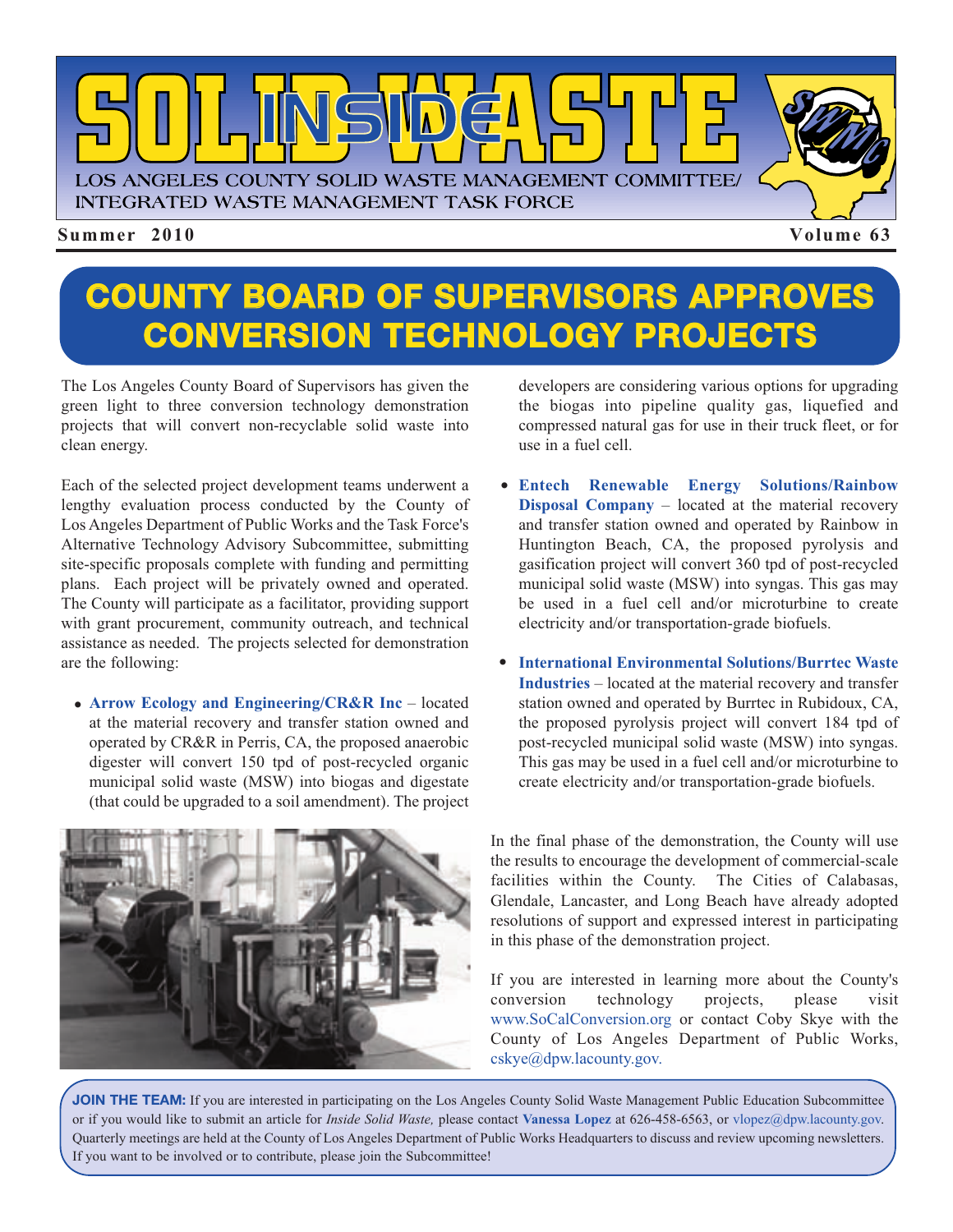

## **COUNTY BOARD OF SUPERVISORS APPROVES CONVERSION TECHNOLOGY PROJECTS**

The Los Angeles County Board of Supervisors has given the green light to three conversion technology demonstration projects that will convert non-recyclable solid waste into clean energy.

Each of the selected project development teams underwent a lengthy evaluation process conducted by the County of Los Angeles Department of Public Works and the Task Force's Alternative Technology Advisory Subcommittee, submitting site-specific proposals complete with funding and permitting plans. Each project will be privately owned and operated. The County will participate as a facilitator, providing support with grant procurement, community outreach, and technical assistance as needed. The projects selected for demonstration are the following:

**Arrow Ecology and Engineering/CR&R Inc** – located • at the material recovery and transfer station owned and operated by CR&R in Perris, CA, the proposed anaerobic digester will convert 150 tpd of post-recycled organic municipal solid waste (MSW) into biogas and digestate (that could be upgraded to a soil amendment). The project



developers are considering various options for upgrading the biogas into pipeline quality gas, liquefied and compressed natural gas for use in their truck fleet, or for use in a fuel cell.

- **Entech Renewable Energy Solutions/Rainbow Disposal Company** – located at the material recovery and transfer station owned and operated by Rainbow in Huntington Beach, CA, the proposed pyrolysis and gasification project will convert 360 tpd of post-recycled municipal solid waste (MSW) into syngas. This gas may be used in a fuel cell and/or microturbine to create electricity and/or transportation-grade biofuels.
- **International Environmental Solutions/Burrtec Waste** •**Industries** – located at the material recovery and transfer station owned and operated by Burrtec in Rubidoux, CA, the proposed pyrolysis project will convert 184 tpd of post-recycled municipal solid waste (MSW) into syngas. This gas may be used in a fuel cell and/or microturbine to create electricity and/or transportation-grade biofuels.

In the final phase of the demonstration, the County will use the results to encourage the development of commercial-scale facilities within the County. The Cities of Calabasas, Glendale, Lancaster, and Long Beach have already adopted resolutions of support and expressed interest in participating in this phase of the demonstration project.

If you are interested in learning more about the County's conversion technology projects, please visit [www.SoCalConversion.org](http://www.socalconversion.org/) or contact Coby Skye with the County of Los Angeles Department of Public Works, [cskye@dpw.lacounty.gov.](mailto:\\cskye@dpw.lacounty.gov)

**JOIN THE TEAM:** If you are interested in participating on the Los Angeles County Solid Waste Management Public Education Subcommittee or if you would like to submit an article for *Inside Solid Waste,* please contact **Vanessa Lopez** at 626-458-6563, or vlopez@dpw.lacounty.gov. Quarterly meetings are held at the County of Los Angeles Department of Public Works Headquarters to discuss an[d review upcoming newsletters.](mailto:\\vlopez@dpw.lacounty.gov) If you want to be involved or to contribute, please join the Subcommittee!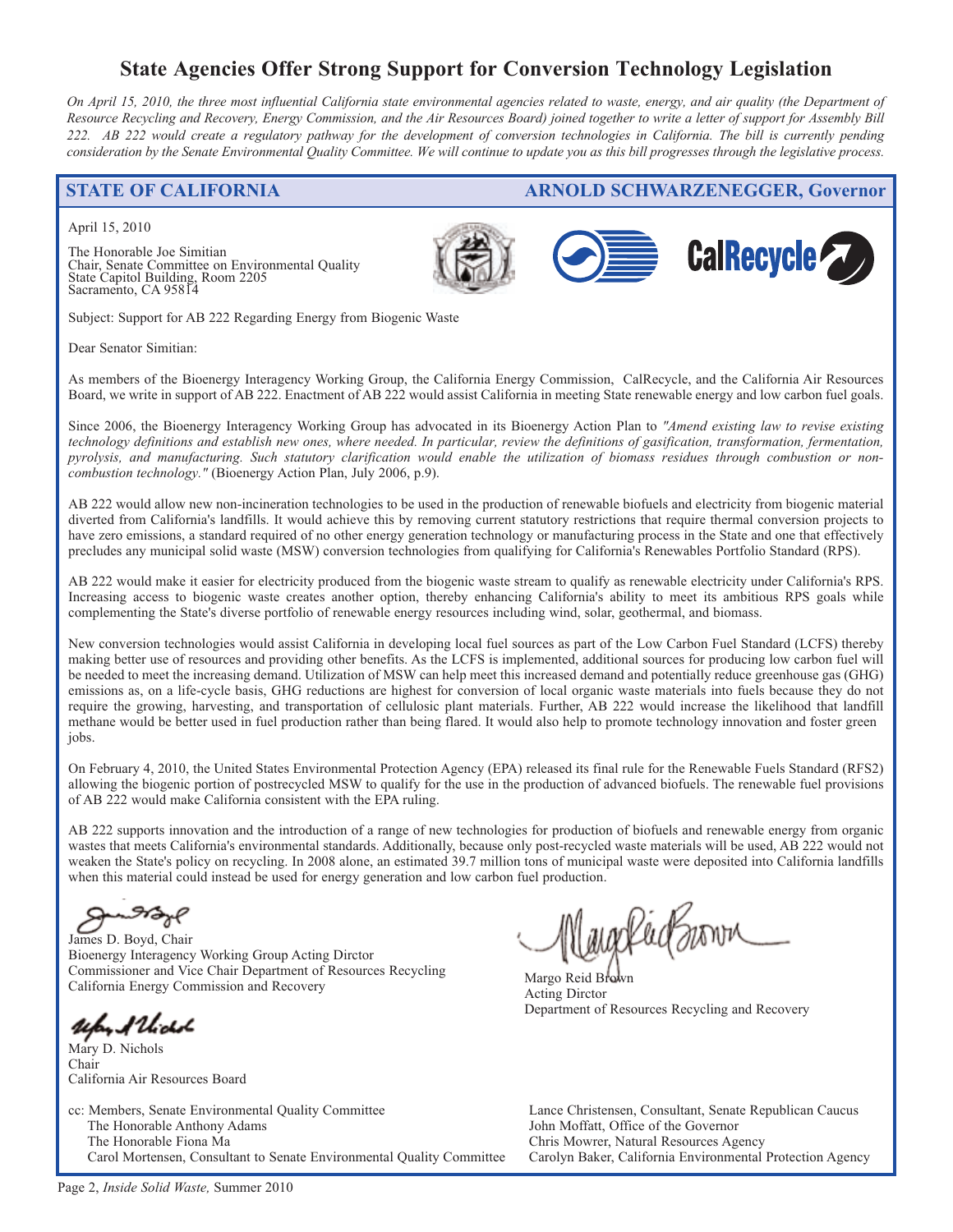### **State Agencies Offer Strong Support for Conversion Technology Legislation**

*On April 15, 2010, the three most influential California state environmental agencies related to waste, energy, and air quality (the Department of Resource Recycling and Recovery, Energy Commission, and the Air Resources Board) joined together to write a letter of support for Assembly Bill 222. AB 222 would create a regulatory pathway for the development of conversion technologies in California. The bill is currently pending consideration by the Senate Environmental Quality Committee. We will continue to update you as this bill progresses through the legislative process.* 

#### **STATE OF CALIFORNIA [ARNOLD SCHW](http://www.arb.ca.gov/homepage.htm)[ARZENEGGER, Governor](http://www.calrecycle.ca.gov/)**

April 15, 2010

The Honorable Joe Simitian Chair, Senate Committee on Environmental Quality State Capitol Building, Room 2205 Sacramento, CA 95814





Subject: Support for AB 222 Regarding Energy from Biogenic Waste

Dear Senator Simitian:

As members of the Bioenergy Interagency Working Group, the California Energy Commission, CalRecycle, and the California Air Resources Board, we write in support of AB 222. Enactment of AB 222 would assist California in meeting State renewable energy and low carbon fuel goals.

Since 2006, the Bioenergy Interagency Working Group has advocated in its Bioenergy Action Plan to *"Amend existing law to revise existing technology definitions and establish new ones, where needed. In particular, review the definitions of gasification, transformation, fermentation, pyrolysis, and manufacturing. Such statutory clarification would enable the utilization of biomass residues through combustion or noncombustion technology."* (Bioenergy Action Plan, July 2006, p.9).

AB 222 would allow new non-incineration technologies to be used in the production of renewable biofuels and electricity from biogenic material diverted from California's landfills. It would achieve this by removing current statutory restrictions that require thermal conversion projects to have zero emissions, a standard required of no other energy generation technology or manufacturing process in the State and one that effectively precludes any municipal solid waste (MSW) conversion technologies from qualifying for California's Renewables Portfolio Standard (RPS).

AB 222 would make it easier for electricity produced from the biogenic waste stream to qualify as renewable electricity under California's RPS. Increasing access to biogenic waste creates another option, thereby enhancing California's ability to meet its ambitious RPS goals while complementing the State's diverse portfolio of renewable energy resources including wind, solar, geothermal, and biomass.

New conversion technologies would assist California in developing local fuel sources as part of the Low Carbon Fuel Standard (LCFS) thereby making better use of resources and providing other benefits. As the LCFS is implemented, additional sources for producing low carbon fuel will be needed to meet the increasing demand. Utilization of MSW can help meet this increased demand and potentially reduce greenhouse gas (GHG) emissions as, on a life-cycle basis, GHG reductions are highest for conversion of local organic waste materials into fuels because they do not require the growing, harvesting, and transportation of cellulosic plant materials. Further, AB 222 would increase the likelihood that landfill methane would be better used in fuel production rather than being flared. It would also help to promote technology innovation and foster green jobs.

On February 4, 2010, the United States Environmental Protection Agency (EPA) released its final rule for the Renewable Fuels Standard (RFS2) allowing the biogenic portion of postrecycled MSW to qualify for the use in the production of advanced biofuels. The renewable fuel provisions of AB 222 would make California consistent with the EPA ruling.

AB 222 supports innovation and the introduction of a range of new technologies for production of biofuels and renewable energy from organic wastes that meets California's environmental standards. Additionally, because only post-recycled waste materials will be used, AB 222 would not weaken the State's policy on recycling. In 2008 alone, an estimated 39.7 million tons of municipal waste were deposited into California landfills when this material could instead be used for energy generation and low carbon fuel production.

James D. Boyd, Chair Bioenergy Interagency Working Group Acting Dirctor Commissioner and Vice Chair Department of Resources Recycling California Energy Commission and Recovery

ufor Allichol

Mary D. Nichols Chair California Air Resources Board

cc: Members, Senate Environmental Quality Committee The Honorable Anthony Adams The Honorable Fiona Ma Carol Mortensen, Consultant to Senate Environmental Quality Committee

Margo Reid Brown Acting Dirctor Department of Resources Recycling and Recovery

Lance Christensen, Consultant, Senate Republican Caucus John Moffatt, Office of the Governor Chris Mowrer, Natural Resources Agency Carolyn Baker, California Environmental Protection Agency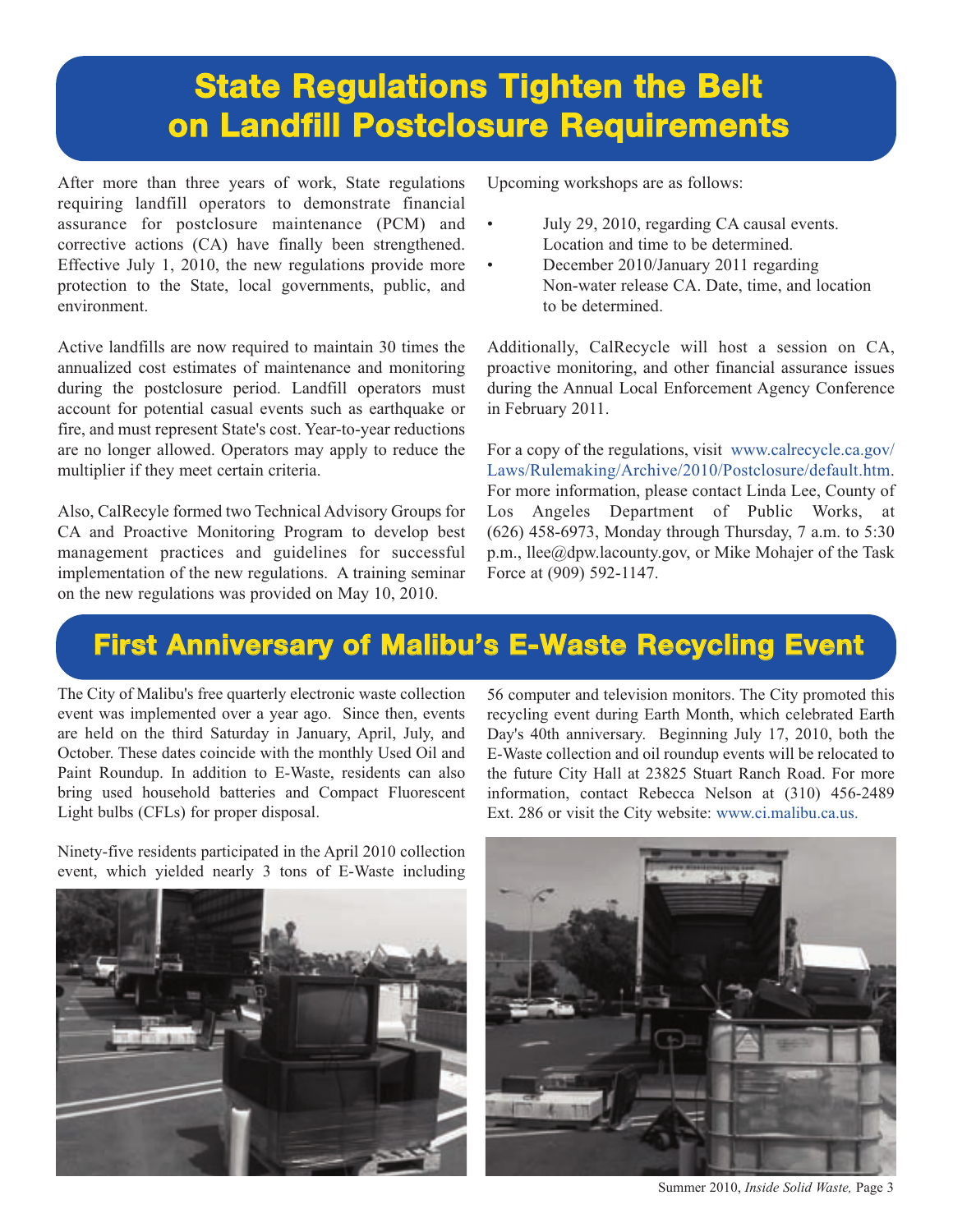## **State Regulations Tighten the Belt on Landfill Postclosure Requirements**

After more than three years of work, State regulations requiring landfill operators to demonstrate financial assurance for postclosure maintenance (PCM) and corrective actions (CA) have finally been strengthened. Effective July 1, 2010, the new regulations provide more protection to the State, local governments, public, and environment.

Active landfills are now required to maintain 30 times the annualized cost estimates of maintenance and monitoring during the postclosure period. Landfill operators must account for potential casual events such as earthquake or fire, and must represent State's cost. Year-to-year reductions are no longer allowed. Operators may apply to reduce the multiplier if they meet certain criteria.

Also, CalRecyle formed two Technical Advisory Groups for CA and Proactive Monitoring Program to develop best management practices and guidelines for successful implementation of the new regulations. A training seminar on the new regulations was provided on May 10, 2010.

Upcoming workshops are as follows:

- July 29, 2010, regarding CA causal events. Location and time to be determined.
- December 2010/January 2011 regarding Non-water release CA. Date, time, and location to be determined.

Additionally, CalRecycle will host a session on CA, proactive monitoring, and other financial assurance issues during the Annual Local Enforcement Agency Conference in February 2011.

For a copy of the regulations, visit www.calrecycle.ca.gov/ [Laws/Rulemaking/Archive/2010/Postclosure/default.htm.](http://www.calrecycle.ca.gov/Laws/Rulemaking/Archive/2010/Postclosure/default.htm) For more information, please contact Linda Lee, County of Los Angeles Department of Public Works, at (626) 458-6973, Monday through Thursday, 7 a.m. to 5:30 p.m., llee@dpw.lacounty.gov, or Mike Mohajer of the Task Force at (909) 592-1147.

### **First Anniversary of Malibu's E-Waste Recycling Event**

The City of Malibu's free quarterly electronic waste collection event was implemented over a year ago. Since then, events are held on the third Saturday in January, April, July, and October. These dates coincide with the monthly Used Oil and Paint Roundup. In addition to E-Waste, residents can also bring used household batteries and Compact Fluorescent Light bulbs (CFLs) for proper disposal.

56 computer and television monitors. The City promoted this recycling event during Earth Month, which celebrated Earth Day's 40th anniversary. Beginning July 17, 2010, both the E-Waste collection and oil roundup events will be relocated to the future City Hall at 23825 Stuart Ranch Road. For more [information, contact Rebecca Nelson at \(310\) 456-2489](http://www.ci.malibu.ca.us/) Ext. 286 or visit the City website: www.ci.malibu.ca.us.

Ninety-five residents participated in the April 2010 collection event, which yielded nearly 3 tons of E-Waste including





Summer 2010, *Inside Solid Waste,* Page 3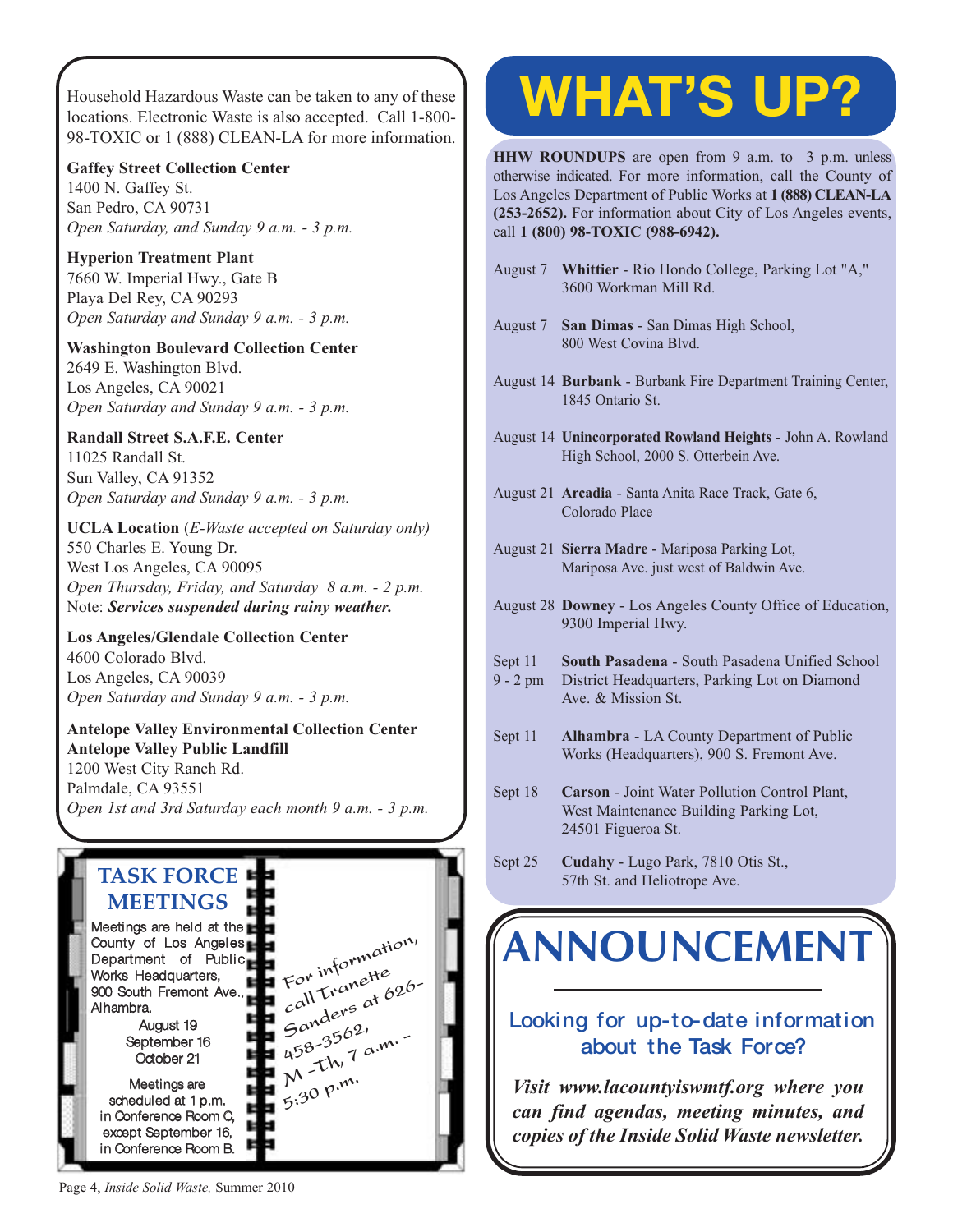[Household Hazardous Waste can be taken to any of thes](http://www.lacitysan.org/solid_resources/special/hhw/safe_centers/index.htm)e locations. Electronic Waste is also accepted. Call 1-800- 98-TOXIC or 1 (888) CLEAN-LA for more information.

**Gaffey Street Collection Center** 1400 N. Gaffey St. San Pedro, CA 90731

*Open Saturday, and Sunday 9 a.m. - 3 p.m.*

**Hyperion Treatment Plant** 7660 W. Imperial Hwy., Gate B Playa Del Rey, CA 90293 *Open Saturday and Sunday 9 a.m. - 3 p.m.*

**Washington Boulevard Collection Center** 2649 E. Washington Blvd. Los Angeles, CA 90021 *Open Saturday and Sunday 9 a.m. - 3 p.m.*

### **Randall Street S.A.F.E. Center**

11025 Randall St. Sun Valley, CA 91352 *Open Saturday and Sunday 9 a.m. - 3 p.m.*

**UCLA Location** (*E-Waste accepted on Saturday only)* 550 Charles E. Young Dr. West Los Angeles, CA 90095 *Open Thursday, Friday, and Saturday 8 a.m. - 2 p.m.* Note: *Services suspended during rainy weather.*

#### **Los Angeles/Glendale Collection Center** 4600 Colorado Blvd. Los Angeles, CA 90039 *Open Saturday and Sunday 9 a.m. - 3 p.m.*

#### **Antelope Valley Environmental Collection Center Antelope Valley Public Landfill** 1200 West City Ranch Rd. Palmdale, CA 93551

*[Open 1st and 3rd Saturday each month 9 a.m. - 3 p.m.](http://ladpw.org/epd/avecc/index.cfm)*



# **WHAT'S UP?**

**HHW ROUNDUPS** are open from 9 a.m. to 3 p.m. unless otherwise indicated. For more information, call the County of Los Angeles Department of Public Works at **1 (888) CLEAN-LA (253-2652).** For information about City of Los Angeles events, call **1 (800) 98-TOXIC (988-6942).**

- August 7 **Whittier** Rio Hondo College, Parking Lot "A," 3600 Workman Mill Rd.
- August 7 **San Dimas** San Dimas High School, 800 West Covina Blvd.
- August 14 **Burbank** Burbank Fire Department Training Center, 1845 Ontario St.
- August 14 **Unincorporated Rowland Heights** John A. Rowland High School, 2000 S. Otterbein Ave.
- August 21 **Arcadia** Santa Anita Race Track, Gate 6, Colorado Place
- August 21 **Sierra Madre** Mariposa Parking Lot, Mariposa Ave. just west of Baldwin Ave.
- August 28 **Downey** Los Angeles County Office of Education, 9300 Imperial Hwy.
- Sept 11 **South Pasadena** South Pasadena Unified School
- 9 2 pm District Headquarters, Parking Lot on Diamond Ave. & Mission St.
- Sept 11 **Alhambra** LA County Department of Public Works (Headquarters), 900 S. Fremont Ave.
- Sept 18 **Carson** Joint Water Pollution Control Plant, West Maintenance Building Parking Lot, 24501 Figueroa St.
- Sept 25 **Cudahy** Lugo Park, 7810 Otis St., 57th St. and Heliotrope Ave.

## **[ANNOUNCEMENT](http://dpw.lacounty.gov/epd/tf/)**

### **Looking for up-to-date information about the Task Force?**

*Visit www.lacountyiswmtf.org where you can find agendas, meeting minutes, and copies of the Inside Solid Waste newsletter.*

Page 4, *Inside Solid Waste,* Summer 2010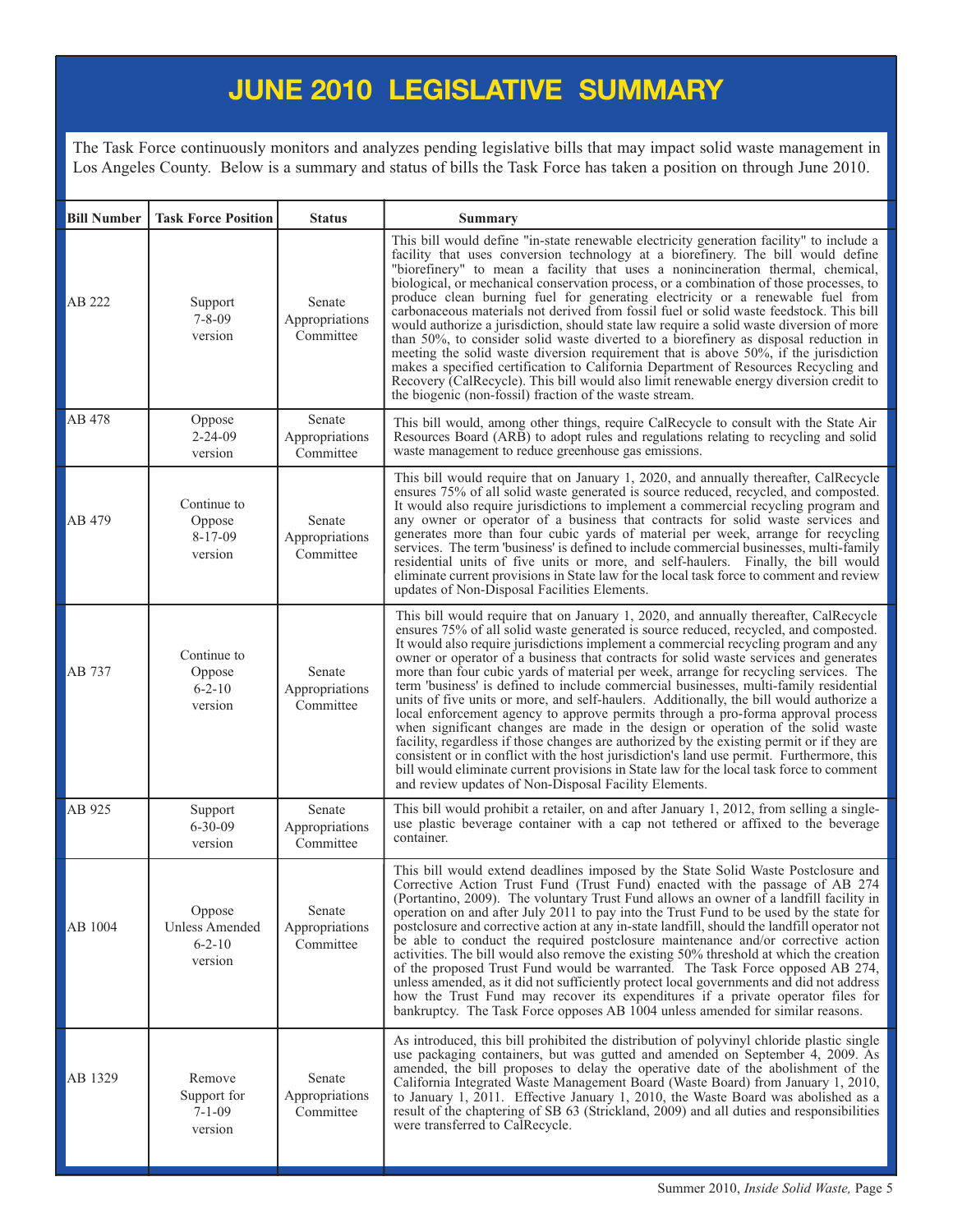### **JUNE 2010 LEGISLATIVE SUMMARY**

The Task Force continuously monitors and analyzes pending legislative bills that may impact solid waste management in Los Angeles County. Below is a summary and status of bills the Task Force has taken a position on through June 2010.

| <b>Bill Number</b> | <b>Task Force Position</b>                          | <b>Status</b>                         | <b>Summary</b>                                                                                                                                                                                                                                                                                                                                                                                                                                                                                                                                                                                                                                                                                                                                                                                                                                                                                                                                                                                                                                                                                                                                                   |
|--------------------|-----------------------------------------------------|---------------------------------------|------------------------------------------------------------------------------------------------------------------------------------------------------------------------------------------------------------------------------------------------------------------------------------------------------------------------------------------------------------------------------------------------------------------------------------------------------------------------------------------------------------------------------------------------------------------------------------------------------------------------------------------------------------------------------------------------------------------------------------------------------------------------------------------------------------------------------------------------------------------------------------------------------------------------------------------------------------------------------------------------------------------------------------------------------------------------------------------------------------------------------------------------------------------|
| AB 222             | Support<br>$7 - 8 - 09$<br>version                  | Senate<br>Appropriations<br>Committee | This bill would define "in-state renewable electricity generation facility" to include a<br>facility that uses conversion technology at a biorefinery. The bill would define<br>"biorefinery" to mean a facility that uses a nonincineration thermal, chemical,<br>biological, or mechanical conservation process, or a combination of those processes, to<br>produce clean burning fuel for generating electricity or a renewable fuel from<br>carbonaceous materials not derived from fossil fuel or solid waste feedstock. This bill<br>would authorize a jurisdiction, should state law require a solid waste diversion of more<br>than 50%, to consider solid waste diverted to a biorefinery as disposal reduction in<br>meeting the solid waste diversion requirement that is above 50%, if the jurisdiction<br>makes a specified certification to California Department of Resources Recycling and<br>Recovery (CalRecycle). This bill would also limit renewable energy diversion credit to<br>the biogenic (non-fossil) fraction of the waste stream.                                                                                                  |
| AB 478             | Oppose<br>$2 - 24 - 09$<br>version                  | Senate<br>Appropriations<br>Committee | This bill would, among other things, require CalRecycle to consult with the State Air<br>Resources Board (ARB) to adopt rules and regulations relating to recycling and solid<br>waste management to reduce greenhouse gas emissions.                                                                                                                                                                                                                                                                                                                                                                                                                                                                                                                                                                                                                                                                                                                                                                                                                                                                                                                            |
| AB 479             | Continue to<br>Oppose<br>$8 - 17 - 09$<br>version   | Senate<br>Appropriations<br>Committee | This bill would require that on January 1, 2020, and annually thereafter, CalRecycle<br>ensures 75% of all solid waste generated is source reduced, recycled, and composted.<br>It would also require jurisdictions to implement a commercial recycling program and<br>any owner or operator of a business that contracts for solid waste services and<br>generates more than four cubic yards of material per week, arrange for recycling<br>services. The term 'business' is defined to include commercial businesses, multi-family<br>residential units of five units or more, and self-haulers. Finally, the bill would<br>eliminate current provisions in State law for the local task force to comment and review<br>updates of Non-Disposal Facilities Elements.                                                                                                                                                                                                                                                                                                                                                                                          |
| AB 737             | Continue to<br>Oppose<br>$6 - 2 - 10$<br>version    | Senate<br>Appropriations<br>Committee | This bill would require that on January 1, 2020, and annually thereafter, CalRecycle<br>ensures 75% of all solid waste generated is source reduced, recycled, and composted.<br>It would also require jurisdictions implement a commercial recycling program and any<br>owner or operator of a business that contracts for solid waste services and generates<br>more than four cubic yards of material per week, arrange for recycling services. The<br>term "business" is defined to include commercial businesses, multi-family residential<br>units of five units or more, and self-haulers. Additionally, the bill would authorize a<br>local enforcement agency to approve permits through a pro-forma approval process<br>when significant changes are made in the design or operation of the solid waste<br>facility, regardless if those changes are authorized by the existing permit or if they are<br>consistent or in conflict with the host jurisdiction's land use permit. Furthermore, this<br>bill would eliminate current provisions in State law for the local task force to comment<br>and review updates of Non-Disposal Facility Elements. |
| AB 925             | Support<br>$6 - 30 - 09$<br>version                 | Senate<br>Appropriations<br>Committee | This bill would prohibit a retailer, on and after January 1, 2012, from selling a single-<br>use plastic beverage container with a cap not tethered or affixed to the beverage<br>container.                                                                                                                                                                                                                                                                                                                                                                                                                                                                                                                                                                                                                                                                                                                                                                                                                                                                                                                                                                     |
| AB 1004            | Oppose<br>Unless Amended<br>$6 - 2 - 10$<br>version | Senate<br>Appropriations<br>Committee | This bill would extend deadlines imposed by the State Solid Waste Postclosure and<br>Corrective Action Trust Fund (Trust Fund) enacted with the passage of AB 274<br>(Portantino, 2009). The voluntary Trust Fund allows an owner of a landfill facility in<br>operation on and after July 2011 to pay into the Trust Fund to be used by the state for<br>postclosure and corrective action at any in-state landfill, should the landfill operator not<br>be able to conduct the required postclosure maintenance and/or corrective action<br>activities. The bill would also remove the existing 50% threshold at which the creation<br>of the proposed Trust Fund would be warranted. The Task Force opposed AB 274,<br>unless amended, as it did not sufficiently protect local governments and did not address<br>how the Trust Fund may recover its expenditures if a private operator files for<br>bankruptcy. The Task Force opposes AB 1004 unless amended for similar reasons.                                                                                                                                                                          |
| AB 1329            | Remove<br>Support for<br>$7 - 1 - 09$<br>version    | Senate<br>Appropriations<br>Committee | As introduced, this bill prohibited the distribution of polyvinyl chloride plastic single<br>use packaging containers, but was gutted and amended on September 4, 2009. As<br>amended, the bill proposes to delay the operative date of the abolishment of the<br>California Integrated Waste Management Board (Waste Board) from January 1, 2010,<br>to January 1, 2011. Effective January 1, 2010, the Waste Board was abolished as a<br>result of the chaptering of SB 63 (Strickland, 2009) and all duties and responsibilities<br>were transferred to CalRecycle.                                                                                                                                                                                                                                                                                                                                                                                                                                                                                                                                                                                           |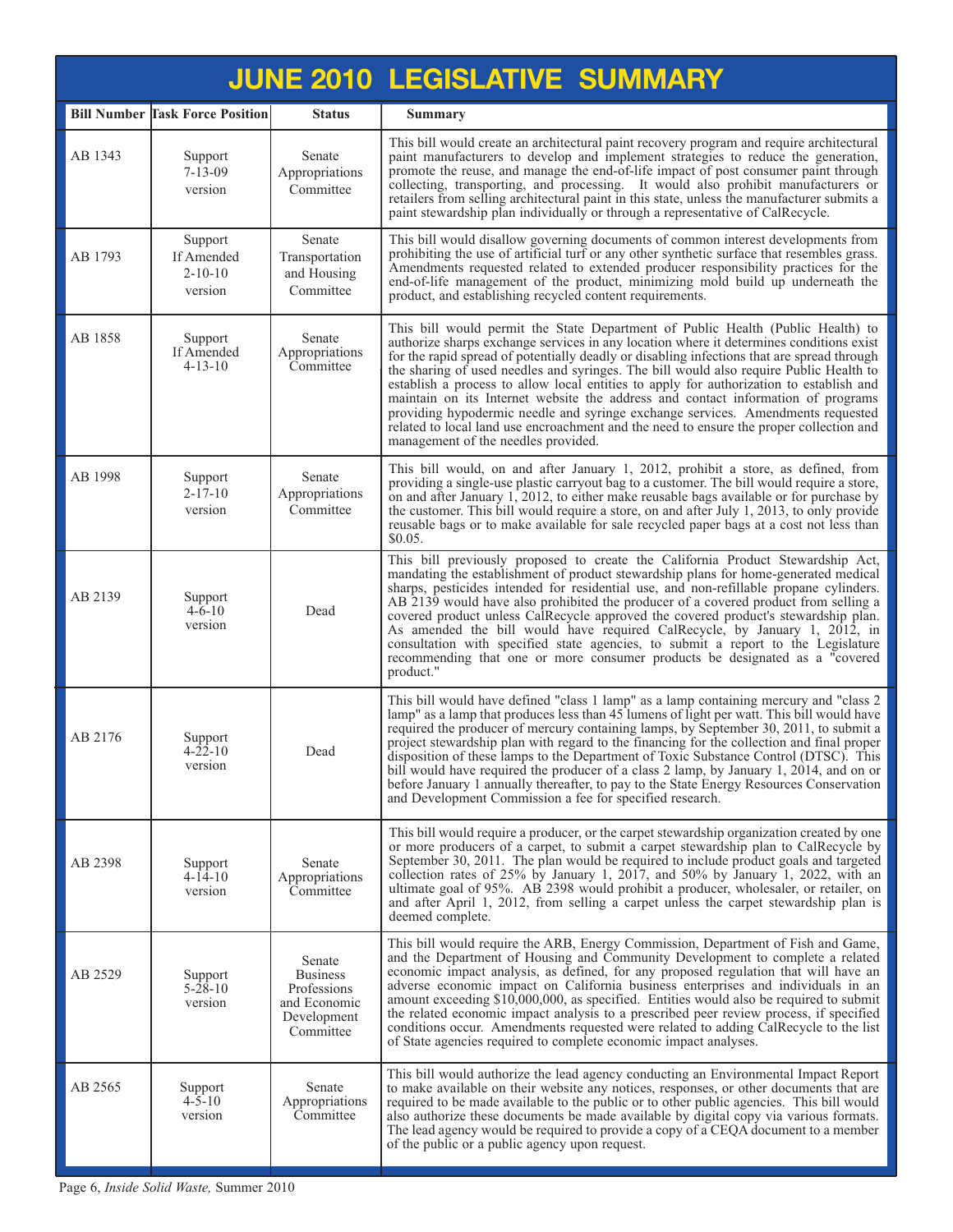|         |                                                   |                                                                                      | <b>JUNE 2010 LEGISLATIVE SUMMARY</b>                                                                                                                                                                                                                                                                                                                                                                                                                                                                                                                                                                                                                                                                                                                                   |
|---------|---------------------------------------------------|--------------------------------------------------------------------------------------|------------------------------------------------------------------------------------------------------------------------------------------------------------------------------------------------------------------------------------------------------------------------------------------------------------------------------------------------------------------------------------------------------------------------------------------------------------------------------------------------------------------------------------------------------------------------------------------------------------------------------------------------------------------------------------------------------------------------------------------------------------------------|
|         | <b>Bill Number Task Force Position</b>            | <b>Status</b>                                                                        | <b>Summary</b>                                                                                                                                                                                                                                                                                                                                                                                                                                                                                                                                                                                                                                                                                                                                                         |
| AB 1343 | Support<br>$7 - 13 - 09$<br>version               | Senate<br>Appropriations<br>Committee                                                | This bill would create an architectural paint recovery program and require architectural<br>paint manufacturers to develop and implement strategies to reduce the generation,<br>promote the reuse, and manage the end-of-life impact of post consumer paint through<br>collecting, transporting, and processing. It would also prohibit manufacturers or<br>retailers from selling architectural paint in this state, unless the manufacturer submits a<br>paint stewardship plan individually or through a representative of CalRecycle.                                                                                                                                                                                                                             |
| AB 1793 | Support<br>If Amended<br>$2 - 10 - 10$<br>version | Senate<br>Transportation<br>and Housing<br>Committee                                 | This bill would disallow governing documents of common interest developments from<br>prohibiting the use of artificial turf or any other synthetic surface that resembles grass.<br>Amendments requested related to extended producer responsibility practices for the<br>end-of-life management of the product, minimizing mold build up underneath the<br>product, and establishing recycled content requirements.                                                                                                                                                                                                                                                                                                                                                   |
| AB 1858 | Support<br>If Amended<br>$4 - 13 - 10$            | Senate<br>Appropriations<br>Committee                                                | This bill would permit the State Department of Public Health (Public Health) to<br>authorize sharps exchange services in any location where it determines conditions exist<br>for the rapid spread of potentially deadly or disabling infections that are spread through<br>the sharing of used needles and syringes. The bill would also require Public Health to<br>establish a process to allow local entities to apply for authorization to establish and<br>maintain on its Internet website the address and contact information of programs<br>providing hypodermic needle and syringe exchange services. Amendments requested<br>related to local land use encroachment and the need to ensure the proper collection and<br>management of the needles provided. |
| AB 1998 | Support<br>$2 - 17 - 10$<br>version               | Senate<br>Appropriations<br>Committee                                                | This bill would, on and after January 1, 2012, prohibit a store, as defined, from<br>providing a single-use plastic carryout bag to a customer. The bill would require a store,<br>on and after January 1, 2012, to either make reusable bags available or for purchase by<br>the customer. This bill would require a store, on and after July 1, 2013, to only provide<br>reusable bags or to make available for sale recycled paper bags at a cost not less than<br>\$0.05.                                                                                                                                                                                                                                                                                          |
| AB 2139 | Support<br>$4 - 6 - 10$<br>version                | Dead                                                                                 | This bill previously proposed to create the California Product Stewardship Act,<br>mandating the establishment of product stewardship plans for home-generated medical<br>sharps, pesticides intended for residential use, and non-refillable propane cylinders.<br>AB 2139 would have also prohibited the producer of a covered product from selling a<br>covered product unless CalRecycle approved the covered product's stewardship plan.<br>As amended the bill would have required CalRecycle, by January 1, 2012, in<br>consultation with specified state agencies, to submit a report to the Legislature<br>recommending that one or more consumer products be designated as a "covered<br>product."                                                           |
| AB 2176 | Support<br>$4 - 22 - 10$<br>version               | Dead                                                                                 | This bill would have defined "class 1 lamp" as a lamp containing mercury and "class 2<br>lamp" as a lamp that produces less than 45 lumens of light per watt. This bill would have<br>required the producer of mercury containing lamps, by September 30, 2011, to submit a<br>project stewardship plan with regard to the financing for the collection and final proper<br>disposition of these lamps to the Department of Toxic Substance Control (DTSC). This<br>bill would have required the producer of a class 2 lamp, by January 1, 2014, and on or<br>before January 1 annually thereafter, to pay to the State Energy Resources Conservation<br>and Development Commission a fee for specified research.                                                      |
| AB 2398 | Support<br>$4 - 14 - 10$<br>version               | Senate<br>Appropriations<br>Committee                                                | This bill would require a producer, or the carpet stewardship organization created by one<br>or more producers of a carpet, to submit a carpet stewardship plan to CalRecycle by<br>September 30, 2011. The plan would be required to include product goals and targeted<br>collection rates of 25% by January 1, 2017, and 50% by January 1, 2022, with an<br>ultimate goal of 95%. AB 2398 would prohibit a producer, wholesaler, or retailer, on<br>and after April 1, 2012, from selling a carpet unless the carpet stewardship plan is<br>deemed complete.                                                                                                                                                                                                        |
| AB 2529 | Support<br>$5 - 28 - 10$<br>version               | Senate<br><b>Business</b><br>Professions<br>and Economic<br>Development<br>Committee | This bill would require the ARB, Energy Commission, Department of Fish and Game,<br>and the Department of Housing and Community Development to complete a related<br>economic impact analysis, as defined, for any proposed regulation that will have an<br>adverse economic impact on California business enterprises and individuals in an<br>amount exceeding \$10,000,000, as specified. Entities would also be required to submit<br>the related economic impact analysis to a prescribed peer review process, if specified<br>conditions occur. Amendments requested were related to adding CalRecycle to the list<br>of State agencies required to complete economic impact analyses.                                                                           |
| AB 2565 | Support<br>$4 - 5 - 10$<br>version                | Senate<br>Appropriations<br>Committee                                                | This bill would authorize the lead agency conducting an Environmental Impact Report<br>to make available on their website any notices, responses, or other documents that are<br>required to be made available to the public or to other public agencies. This bill would<br>also authorize these documents be made available by digital copy via various formats.<br>The lead agency would be required to provide a copy of a CEQA document to a member<br>of the public or a public agency upon request.                                                                                                                                                                                                                                                             |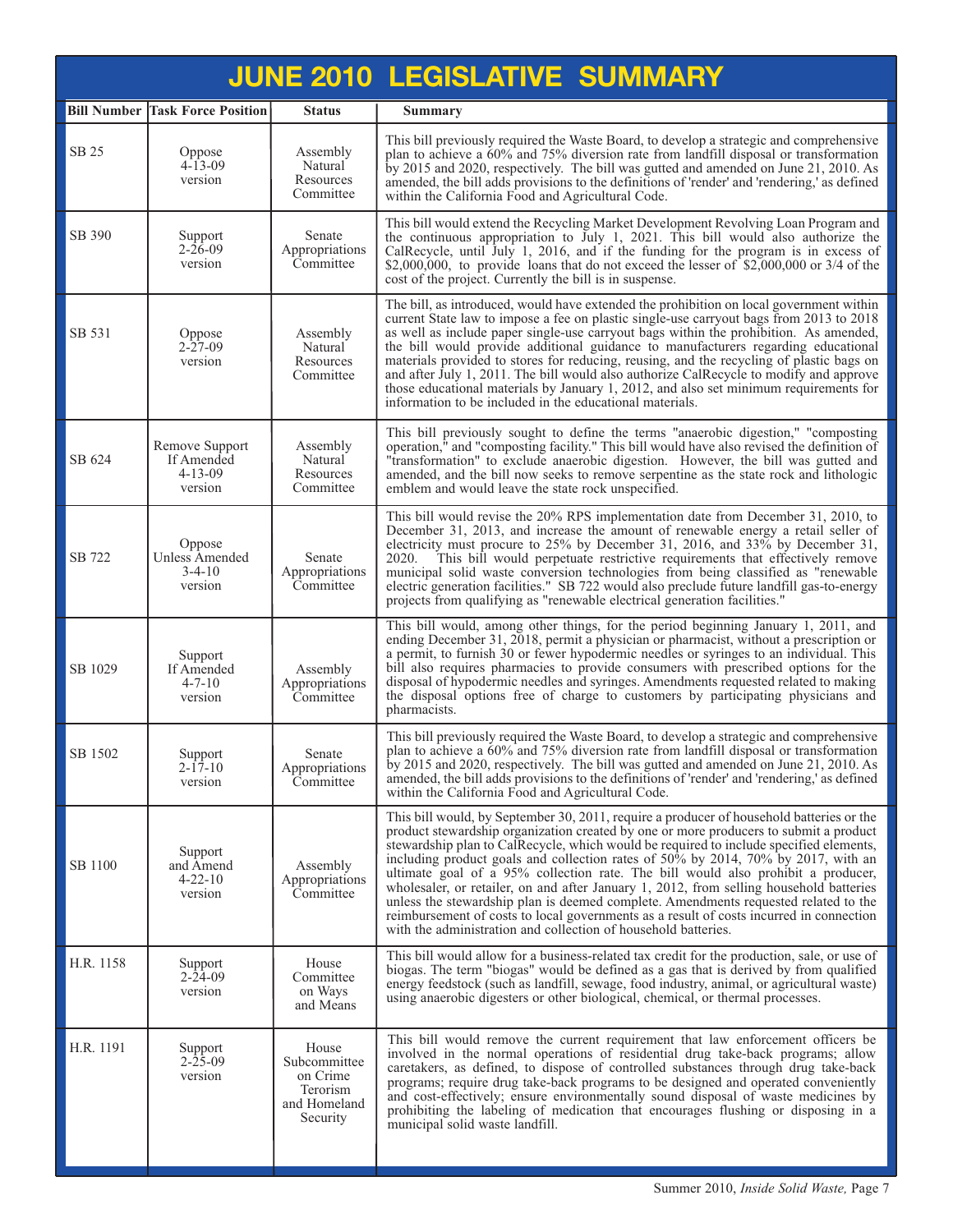|           |                                                          |                                                                           | <b>JUNE 2010 LEGISLATIVE SUMMARY</b>                                                                                                                                                                                                                                                                                                                                                                                                                                                                                                                                                                                                                                                                                                                                                                |
|-----------|----------------------------------------------------------|---------------------------------------------------------------------------|-----------------------------------------------------------------------------------------------------------------------------------------------------------------------------------------------------------------------------------------------------------------------------------------------------------------------------------------------------------------------------------------------------------------------------------------------------------------------------------------------------------------------------------------------------------------------------------------------------------------------------------------------------------------------------------------------------------------------------------------------------------------------------------------------------|
|           | <b>Bill Number Task Force Position</b>                   | <b>Status</b>                                                             | <b>Summary</b>                                                                                                                                                                                                                                                                                                                                                                                                                                                                                                                                                                                                                                                                                                                                                                                      |
| SB 25     | Oppose<br>$4 - 13 - 09$<br>version                       | Assembly<br>Natural<br>Resources<br>Committee                             | This bill previously required the Waste Board, to develop a strategic and comprehensive<br>plan to achieve a 60% and 75% diversion rate from landfill disposal or transformation<br>by 2015 and 2020, respectively. The bill was gutted and amended on June 21, 2010. As<br>amended, the bill adds provisions to the definitions of 'render' and 'rendering,' as defined<br>within the California Food and Agricultural Code.                                                                                                                                                                                                                                                                                                                                                                       |
| SB 390    | Support<br>$2 - 26 - 09$<br>version                      | Senate<br>Appropriations<br>Committee                                     | This bill would extend the Recycling Market Development Revolving Loan Program and<br>the continuous appropriation to July 1, 2021. This bill would also authorize the<br>CalRecycle, until July 1, 2016, and if the funding for the program is in excess of<br>\$2,000,000, to provide loans that do not exceed the lesser of $$2,000,000$ or 3/4 of the<br>cost of the project. Currently the bill is in suspense.                                                                                                                                                                                                                                                                                                                                                                                |
| SB 531    | Oppose<br>$2 - 27 - 09$<br>version                       | Assembly<br>Natural<br>Resources<br>Committee                             | The bill, as introduced, would have extended the prohibition on local government within<br>current State law to impose a fee on plastic single-use carryout bags from 2013 to 2018<br>as well as include paper single-use carryout bags within the prohibition. As amended,<br>the bill would provide additional guidance to manufacturers regarding educational<br>materials provided to stores for reducing, reusing, and the recycling of plastic bags on<br>and after July 1, 2011. The bill would also authorize CalRecycle to modify and approve<br>those educational materials by January 1, 2012, and also set minimum requirements for<br>information to be included in the educational materials.                                                                                         |
| SB 624    | Remove Support<br>If Amended<br>$4 - 13 - 09$<br>version | Assembly<br>Natural<br>Resources<br>Committee                             | This bill previously sought to define the terms "anaerobic digestion," "composting<br>operation," and "composting facility." This bill would have also revised the definition of<br>"transformation" to exclude anaerobic digestion. However, the bill was gutted and<br>amended, and the bill now seeks to remove serpentine as the state rock and lithologic<br>emblem and would leave the state rock unspecified.                                                                                                                                                                                                                                                                                                                                                                                |
| SB 722    | Oppose<br>Unless Amended<br>$3-4-10$<br>version          | Senate<br>Appropriations<br>Committee                                     | This bill would revise the 20% RPS implementation date from December 31, 2010, to<br>December 31, 2013, and increase the amount of renewable energy a retail seller of<br>electricity must procure to 25% by December 31, 2016, and 33% by December 31,<br>2020.<br>This bill would perpetuate restrictive requirements that effectively remove<br>municipal solid waste conversion technologies from being classified as "renewable"<br>electric generation facilities." SB 722 would also preclude future landfill gas-to-energy<br>projects from qualifying as "renewable electrical generation facilities."                                                                                                                                                                                     |
| SB 1029   | Support<br>If Amended<br>$4 - 7 - 10$<br>version         | Assembly<br>Appropriations<br>Committee                                   | This bill would, among other things, for the period beginning January 1, 2011, and<br>ending December 31, 2018, permit a physician or pharmacist, without a prescription or<br>a permit, to furnish 30 or fewer hypodermic needles or syringes to an individual. This<br>bill also requires pharmacies to provide consumers with prescribed options for the<br>disposal of hypodermic needles and syringes. Amendments requested related to making<br>the disposal options free of charge to customers by participating physicians and<br>pharmacists.                                                                                                                                                                                                                                              |
| SB 1502   | Support<br>$2 - 17 - 10$<br>version                      | Senate<br>Appropriations<br>Committee                                     | This bill previously required the Waste Board, to develop a strategic and comprehensive<br>plan to achieve a 60% and 75% diversion rate from landfill disposal or transformation<br>by 2015 and 2020, respectively. The bill was gutted and amended on June 21, 2010. As<br>amended, the bill adds provisions to the definitions of 'render' and 'rendering,' as defined<br>within the California Food and Agricultural Code.                                                                                                                                                                                                                                                                                                                                                                       |
| SB 1100   | Support<br>and Amend<br>$4 - 22 - 10$<br>version         | Assembly<br>Appropriations<br>Committee                                   | This bill would, by September 30, 2011, require a producer of household batteries or the<br>product stewardship organization created by one or more producers to submit a product<br>stewardship plan to CalRecycle, which would be required to include specified elements,<br>including product goals and collection rates of 50% by 2014, 70% by 2017, with an<br>ultimate goal of a 95% collection rate. The bill would also prohibit a producer,<br>wholesaler, or retailer, on and after January 1, 2012, from selling household batteries<br>unless the stewardship plan is deemed complete. Amendments requested related to the<br>reimbursement of costs to local governments as a result of costs incurred in connection<br>with the administration and collection of household batteries. |
| H.R. 1158 | Support<br>$2 - 24 - 09$<br>version                      | House<br>Committee<br>on Ways<br>and Means                                | This bill would allow for a business-related tax credit for the production, sale, or use of<br>biogas. The term "biogas" would be defined as a gas that is derived by from qualified<br>energy feedstock (such as landfill, sewage, food industry, animal, or agricultural waste)<br>using anaerobic digesters or other biological, chemical, or thermal processes.                                                                                                                                                                                                                                                                                                                                                                                                                                 |
| H.R. 1191 | Support<br>$2 - 25 - 09$<br>version                      | House<br>Subcommittee<br>on Crime<br>Terorism<br>and Homeland<br>Security | This bill would remove the current requirement that law enforcement officers be<br>involved in the normal operations of residential drug take-back programs; allow<br>caretakers, as defined, to dispose of controlled substances through drug take-back<br>programs; require drug take-back programs to be designed and operated conveniently<br>and cost-effectively; ensure environmentally sound disposal of waste medicines by<br>prohibiting the labeling of medication that encourages flushing or disposing in a<br>municipal solid waste landfill.                                                                                                                                                                                                                                         |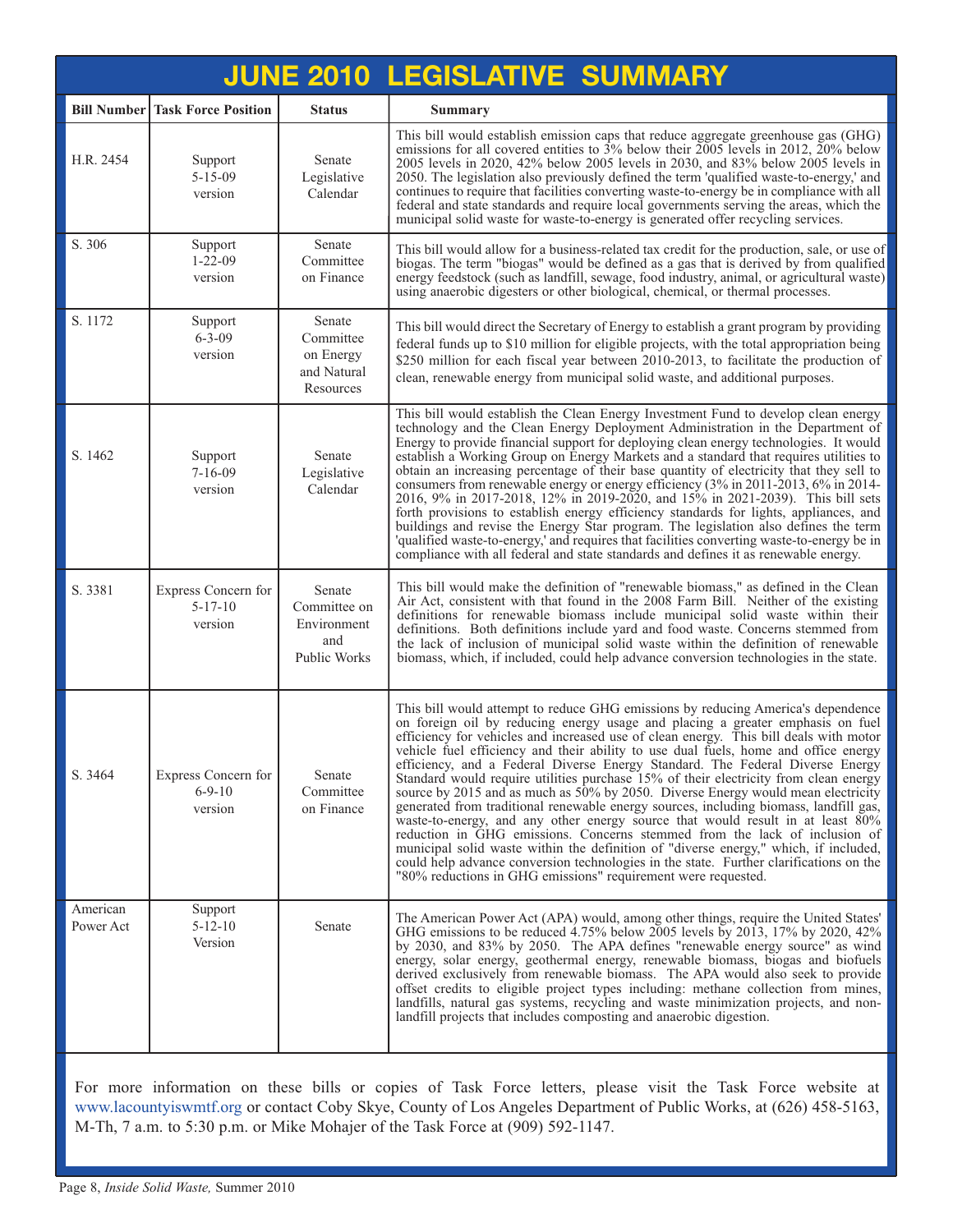|                       |                                                 |                                                              | <b>JUNE 2010 LEGISLATIVE SUMMARY</b>                                                                                                                                                                                                                                                                                                                                                                                                                                                                                                                                                                                                                                                                                                                                                                                                                                                                                                                                                                                                                                                                                        |
|-----------------------|-------------------------------------------------|--------------------------------------------------------------|-----------------------------------------------------------------------------------------------------------------------------------------------------------------------------------------------------------------------------------------------------------------------------------------------------------------------------------------------------------------------------------------------------------------------------------------------------------------------------------------------------------------------------------------------------------------------------------------------------------------------------------------------------------------------------------------------------------------------------------------------------------------------------------------------------------------------------------------------------------------------------------------------------------------------------------------------------------------------------------------------------------------------------------------------------------------------------------------------------------------------------|
|                       | <b>Bill Number Task Force Position</b>          | <b>Status</b>                                                | <b>Summary</b>                                                                                                                                                                                                                                                                                                                                                                                                                                                                                                                                                                                                                                                                                                                                                                                                                                                                                                                                                                                                                                                                                                              |
| H.R. 2454             | Support<br>$5 - 15 - 09$<br>version             | Senate<br>Legislative<br>Calendar                            | This bill would establish emission caps that reduce aggregate greenhouse gas (GHG)<br>emissions for all covered entities to $3\%$ below their $2005$ levels in 2012, $20\%$ below<br>2005 levels in 2020, 42% below 2005 levels in 2030, and 83% below 2005 levels in<br>2050. The legislation also previously defined the term 'qualified waste-to-energy,' and<br>continues to require that facilities converting waste-to-energy be in compliance with all<br>federal and state standards and require local governments serving the areas, which the<br>municipal solid waste for waste-to-energy is generated offer recycling services.                                                                                                                                                                                                                                                                                                                                                                                                                                                                                 |
| S. 306                | Support<br>$1 - 22 - 09$<br>version             | Senate<br>Committee<br>on Finance                            | This bill would allow for a business-related tax credit for the production, sale, or use of<br>biogas. The term "biogas" would be defined as a gas that is derived by from qualified<br>energy feedstock (such as landfill, sewage, food industry, animal, or agricultural waste)<br>using anaerobic digesters or other biological, chemical, or thermal processes.                                                                                                                                                                                                                                                                                                                                                                                                                                                                                                                                                                                                                                                                                                                                                         |
| S. 1172               | Support<br>$6 - 3 - 09$<br>version              | Senate<br>Committee<br>on Energy<br>and Natural<br>Resources | This bill would direct the Secretary of Energy to establish a grant program by providing<br>federal funds up to \$10 million for eligible projects, with the total appropriation being<br>\$250 million for each fiscal year between 2010-2013, to facilitate the production of<br>clean, renewable energy from municipal solid waste, and additional purposes.                                                                                                                                                                                                                                                                                                                                                                                                                                                                                                                                                                                                                                                                                                                                                             |
| S. 1462               | Support<br>$7 - 16 - 09$<br>version             | Senate<br>Legislative<br>Calendar                            | This bill would establish the Clean Energy Investment Fund to develop clean energy<br>technology and the Clean Energy Deployment Administration in the Department of<br>Energy to provide financial support for deploying clean energy technologies. It would<br>establish a Working Group on Energy Markets and a standard that requires utilities to<br>obtain an increasing percentage of their base quantity of electricity that they sell to<br>consumers from renewable energy or energy efficiency (3% in 2011-2013, 6% in 2014-<br>2016, 9% in 2017-2018, 12% in 2019-2020, and 15% in 2021-2039). This bill sets<br>forth provisions to establish energy efficiency standards for lights, appliances, and<br>buildings and revise the Energy Star program. The legislation also defines the term<br>'qualified waste-to-energy,' and requires that facilities converting waste-to-energy be in<br>compliance with all federal and state standards and defines it as renewable energy.                                                                                                                              |
| S. 3381               | Express Concern for<br>$5 - 17 - 10$<br>version | Senate<br>Committee on<br>Environment<br>and<br>Public Works | This bill would make the definition of "renewable biomass," as defined in the Clean<br>Air Act, consistent with that found in the 2008 Farm Bill. Neither of the existing<br>definitions for renewable biomass include municipal solid waste within their<br>definitions. Both definitions include yard and food waste. Concerns stemmed from<br>the lack of inclusion of municipal solid waste within the definition of renewable<br>biomass, which, if included, could help advance conversion technologies in the state.                                                                                                                                                                                                                                                                                                                                                                                                                                                                                                                                                                                                 |
| S. 3464               | Express Concern for<br>$6 - 9 - 10$<br>version  | Senate<br>Committee<br>on Finance                            | This bill would attempt to reduce GHG emissions by reducing America's dependence<br>on foreign oil by reducing energy usage and placing a greater emphasis on fuel<br>efficiency for vehicles and increased use of clean energy. This bill deals with motor<br>vehicle fuel efficiency and their ability to use dual fuels, home and office energy<br>efficiency, and a Federal Diverse Energy Standard. The Federal Diverse Energy<br>Standard would require utilities purchase 15% of their electricity from clean energy<br>source by 2015 and as much as 50% by 2050. Diverse Energy would mean electricity<br>generated from traditional renewable energy sources, including biomass, landfill gas,<br>waste-to-energy, and any other energy source that would result in at least 80%<br>reduction in GHG emissions. Concerns stemmed from the lack of inclusion of<br>municipal solid waste within the definition of "diverse energy," which, if included,<br>could help advance conversion technologies in the state. Further clarifications on the<br>"80% reductions in GHG emissions" requirement were requested. |
| American<br>Power Act | Support<br>$5 - 12 - 10$<br>Version             | Senate                                                       | The American Power Act (APA) would, among other things, require the United States'<br>GHG emissions to be reduced 4.75% below 2005 levels by 2013, 17% by 2020, 42%<br>by 2030, and 83% by 2050. The APA defines "renewable energy source" as wind<br>energy, solar energy, geothermal energy, renewable biomass, biogas and biofuels<br>derived exclusively from renewable biomass. The APA would also seek to provide<br>offset credits to eligible project types including: methane collection from mines,<br>landfills, natural gas systems, recycling and waste minimization projects, and non-<br>landfill projects that includes composting and anaerobic digestion.                                                                                                                                                                                                                                                                                                                                                                                                                                                 |

[For more information on these bills](http://dpw.lacounty.gov/epd/tf/) or copies of Task Force letters, please visit the Task Force website at www.lacountyiswmtf.org or contact Coby Skye, County of Los Angeles Department of Public Works, at (626) 458-5163, M-Th, 7 a.m. to 5:30 p.m. or Mike Mohajer of the Task Force at (909) 592-1147.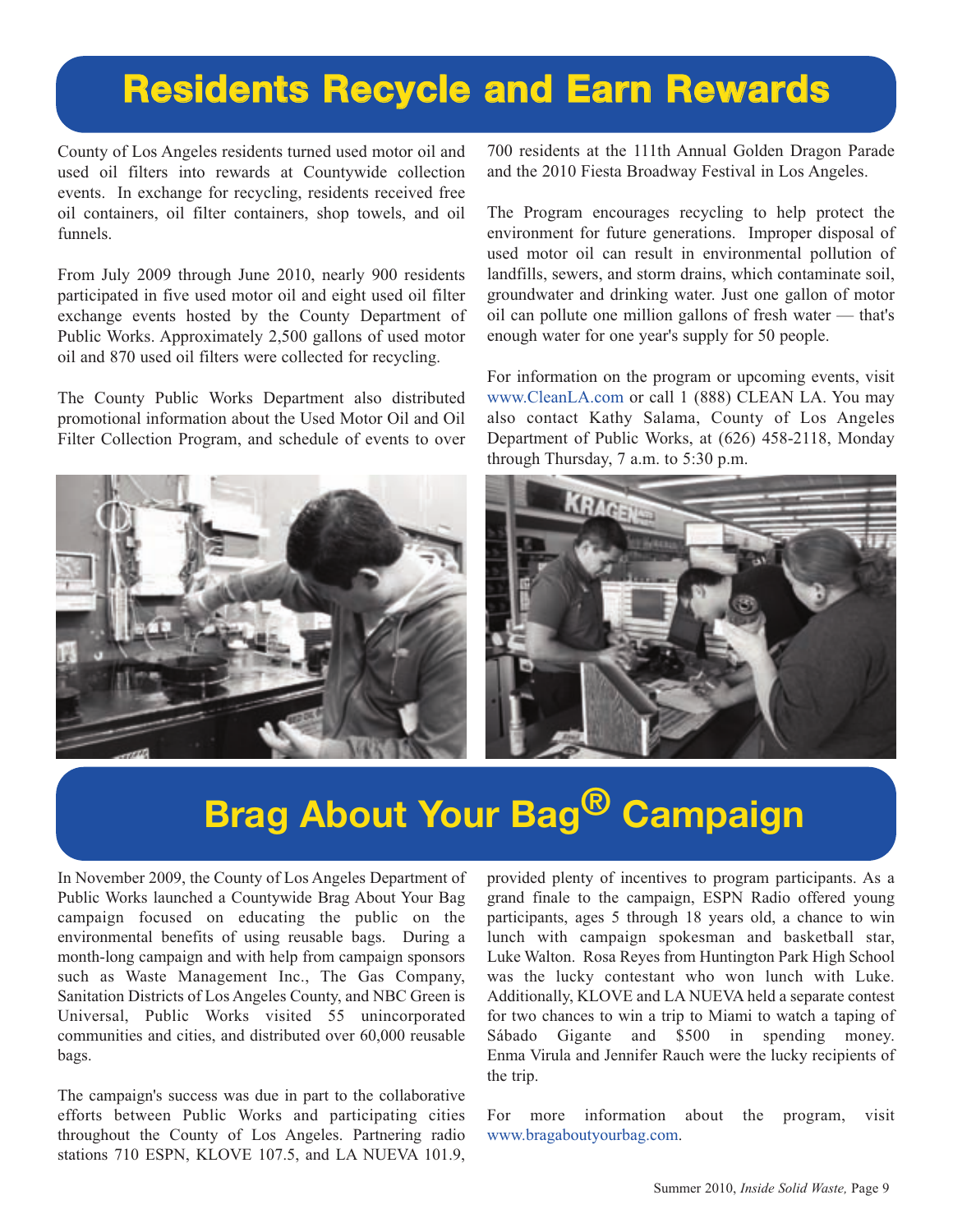## **Residents Recycle and Earn Rewards**

County of Los Angeles residents turned used motor oil and used oil filters into rewards at Countywide collection events. In exchange for recycling, residents received free oil containers, oil filter containers, shop towels, and oil funnels.

From July 2009 through June 2010, nearly 900 residents participated in five used motor oil and eight used oil filter exchange events hosted by the County Department of Public Works. Approximately 2,500 gallons of used motor oil and 870 used oil filters were collected for recycling.

The County Public Works Department also distributed promotional information about the Used Motor Oil and Oil Filter Collection Program, and schedule of events to over

700 residents at the 111th Annual Golden Dragon Parade and the 2010 Fiesta Broadway Festival in Los Angeles.

The Program encourages recycling to help protect the environment for future generations. Improper disposal of used motor oil can result in environmental pollution of landfills, sewers, and storm drains, which contaminate soil, groundwater and drinking water. Just one gallon of motor oil can pollute one million gallons of fresh water — that's enough water for one year's supply for 50 people.

[For information on the program or upcoming events, visit](http://dpw.lacounty.gov/epd/cleanla/default.html) www.CleanLA.com or call 1 (888) CLEAN LA. You may also contact Kathy Salama, County of Los Angeles Department of Public Works, at (626) 458-2118, Monday through Thursday, 7 a.m. to 5:30 p.m.



## **Brag About Your Bag® Campaign**

In November 2009, the County of Los Angeles Department of Public Works launched a Countywide Brag About Your Bag campaign focused on educating the public on the environmental benefits of using reusable bags. During a month-long campaign and with help from campaign sponsors such as Waste Management Inc., The Gas Company, Sanitation Districts of Los Angeles County, and NBC Green is Universal, Public Works visited 55 unincorporated communities and cities, and distributed over 60,000 reusable bags.

The campaign's success was due in part to the collaborative efforts between Public Works and participating cities throughout the County of Los Angeles. Partnering radio stations 710 ESPN, KLOVE 107.5, and LA NUEVA 101.9, provided plenty of incentives to program participants. As a grand finale to the campaign, ESPN Radio offered young participants, ages 5 through 18 years old, a chance to win lunch with campaign spokesman and basketball star, Luke Walton. Rosa Reyes from Huntington Park High School was the lucky contestant who won lunch with Luke. Additionally, KLOVE and LA NUEVA held a separate contest for two chances to win a trip to Miami to watch a taping of Sábado Gigante and \$500 in spending money. Enma Virula and Jennifer Rauch were the lucky recipients of the trip.

For more information about the program, visit [www.bragaboutyourbag.com.](http://dpw.lacounty.gov/epd/PlasticBags/Campaign09.cfm)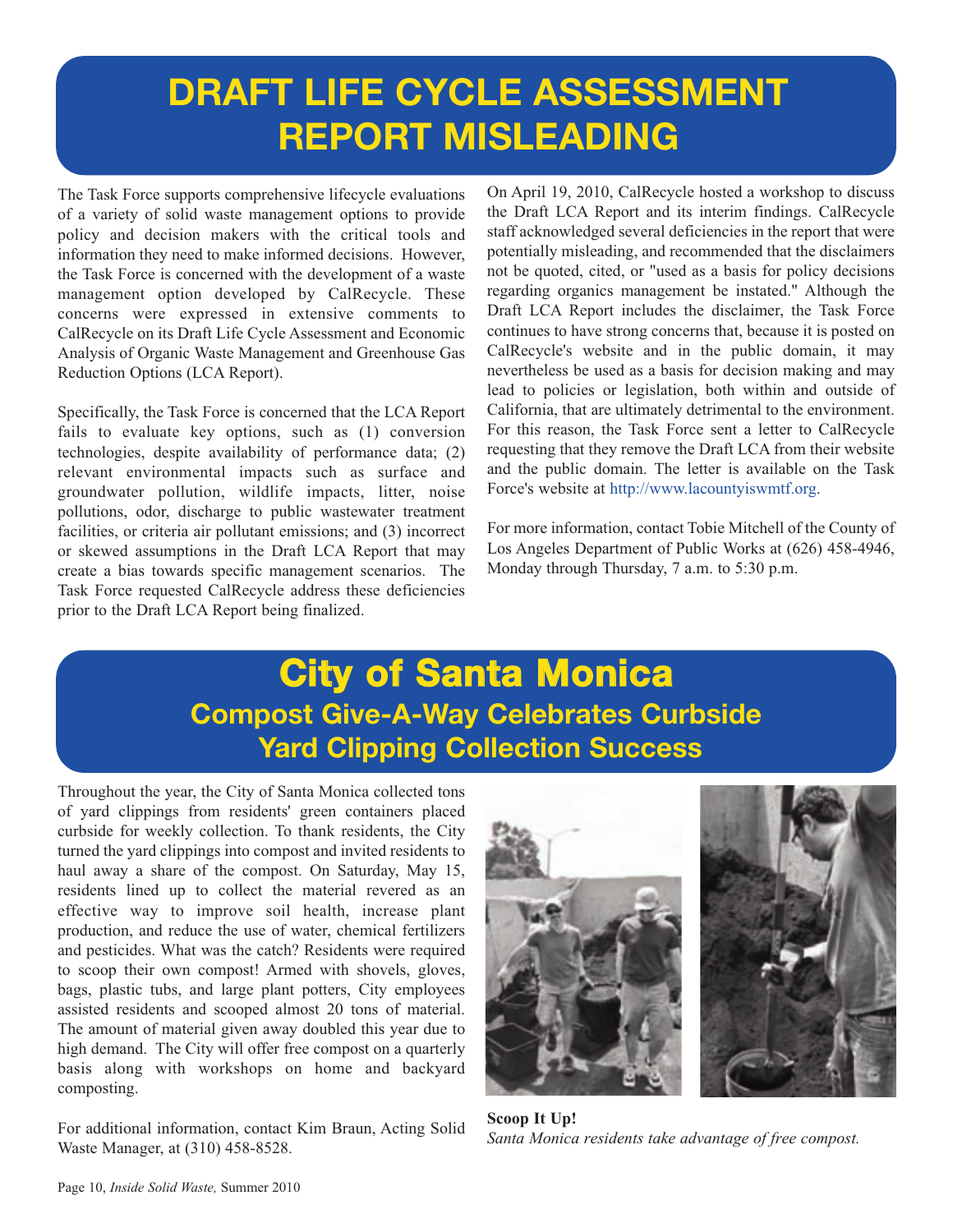## **DRAFT LIFE CYCLE ASSESSMENT REPORT MISLEADING**

The Task Force supports comprehensive lifecycle evaluations of a variety of solid waste management options to provide policy and decision makers with the critical tools and information they need to make informed decisions. However, the Task Force is concerned with the development of a waste management option developed by CalRecycle. These concerns were expressed in extensive comments to CalRecycle on its Draft Life Cycle Assessment and Economic Analysis of Organic Waste Management and Greenhouse Gas Reduction Options (LCA Report).

Specifically, the Task Force is concerned that the LCA Report fails to evaluate key options, such as (1) conversion technologies, despite availability of performance data; (2) relevant environmental impacts such as surface and groundwater pollution, wildlife impacts, litter, noise pollutions, odor, discharge to public wastewater treatment facilities, or criteria air pollutant emissions; and (3) incorrect or skewed assumptions in the Draft LCA Report that may create a bias towards specific management scenarios. The Task Force requested CalRecycle address these deficiencies prior to the Draft LCA Report being finalized.

On April 19, 2010, CalRecycle hosted a workshop to discuss the Draft LCA Report and its interim findings. CalRecycle staff acknowledged several deficiencies in the report that were potentially misleading, and recommended that the disclaimers not be quoted, cited, or "used as a basis for policy decisions regarding organics management be instated." Although the Draft LCA Report includes the disclaimer, the Task Force continues to have strong concerns that, because it is posted on CalRecycle's website and in the public domain, it may nevertheless be used as a basis for decision making and may lead to policies or legislation, both within and outside of California, that are ultimately detrimental to the environment. For this reason, the Task Force sent a letter to CalRecycle requesting that they remove the Draft LCA from their website and the public domain. The letter is available on the Task [Force's website at http://www.lacountyiswmtf.org.](http://dpw.lacounty.gov/epd/tf/) 

For more information, contact Tobie Mitchell of the County of Los Angeles Department of Public Works at (626) 458-4946, Monday through Thursday, 7 a.m. to 5:30 p.m.

## **City of Santa Monica [Compost Give-A-Way Celebrates Curbside](http://www.smgov.net/) Yard Clipping Collection Success**

Throughout the year, the City of Santa Monica collected tons of yard clippings from residents' green containers placed curbside for weekly collection. To thank residents, the City turned the yard clippings into compost and invited residents to haul away a share of the compost. On Saturday, May 15, residents lined up to collect the material revered as an effective way to improve soil health, increase plant production, and reduce the use of water, chemical fertilizers and pesticides. What was the catch? Residents were required to scoop their own compost! Armed with shovels, gloves, bags, plastic tubs, and large plant potters, City employees assisted residents and scooped almost 20 tons of material. The amount of material given away doubled this year due to high demand. The City will offer free compost on a quarterly basis along with workshops on home and backyard composting.

For additional information, contact Kim Braun, Acting Solid Waste Manager, at (310) 458-8528.



**Scoop It Up!**  *Santa Monica residents take advantage of free compost.*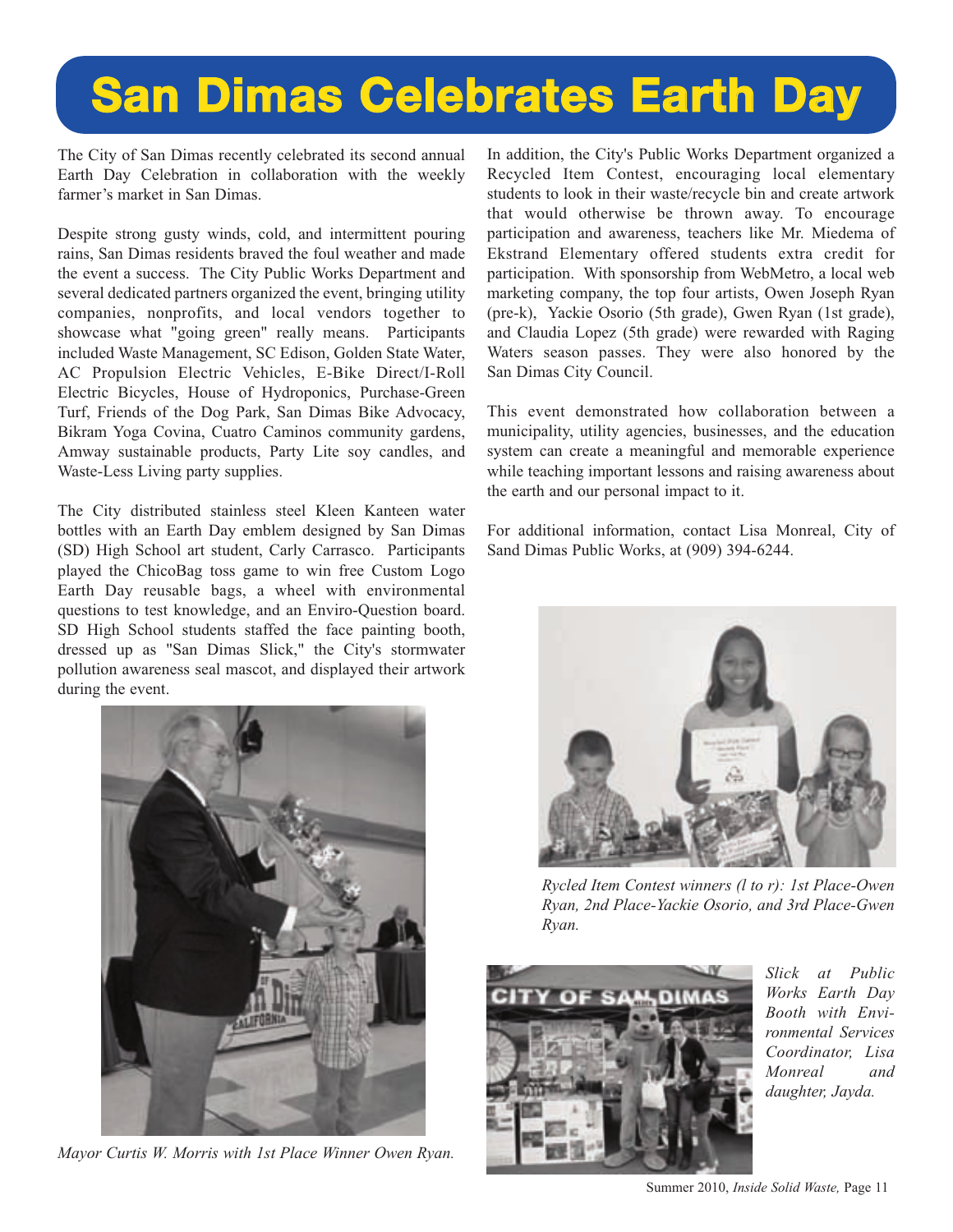## **[San Dimas Celebrates Earth Day](http://www.cityofsandimas.com/)**

The City of San Dimas recently celebrated its second annual Earth Day Celebration in collaboration with the weekly farmer's market in San Dimas.

Despite strong gusty winds, cold, and intermittent pouring rains, San Dimas residents braved the foul weather and made the event a success. The City Public Works Department and several dedicated partners organized the event, bringing utility companies, nonprofits, and local vendors together to showcase what "going green" really means. Participants included Waste Management, SC Edison, Golden State Water, AC Propulsion Electric Vehicles, E-Bike Direct/I-Roll Electric Bicycles, House of Hydroponics, Purchase-Green Turf, Friends of the Dog Park, San Dimas Bike Advocacy, Bikram Yoga Covina, Cuatro Caminos community gardens, Amway sustainable products, Party Lite soy candles, and Waste-Less Living party supplies.

The City distributed stainless steel Kleen Kanteen water bottles with an Earth Day emblem designed by San Dimas (SD) High School art student, Carly Carrasco. Participants played the ChicoBag toss game to win free Custom Logo Earth Day reusable bags, a wheel with environmental questions to test knowledge, and an Enviro-Question board. SD High School students staffed the face painting booth, dressed up as "San Dimas Slick," the City's stormwater pollution awareness seal mascot, and displayed their artwork during the event.



*Mayor Curtis W. Morris with 1st Place Winner Owen Ryan.* 

In addition, the City's Public Works Department organized a Recycled Item Contest, encouraging local elementary students to look in their waste/recycle bin and create artwork that would otherwise be thrown away. To encourage participation and awareness, teachers like Mr. Miedema of Ekstrand Elementary offered students extra credit for participation. With sponsorship from WebMetro, a local web marketing company, the top four artists, Owen Joseph Ryan (pre-k), Yackie Osorio (5th grade), Gwen Ryan (1st grade), and Claudia Lopez (5th grade) were rewarded with Raging Waters season passes. They were also honored by the San Dimas City Council.

This event demonstrated how collaboration between a municipality, utility agencies, businesses, and the education system can create a meaningful and memorable experience while teaching important lessons and raising awareness about the earth and our personal impact to it.

For additional information, contact Lisa Monreal, City of Sand Dimas Public Works, at (909) 394-6244.



*Rycled Item Contest winners (l to r): 1st Place-Owen Ryan, 2nd Place-Yackie Osorio, and 3rd Place-Gwen Ryan.* 



*Slick at Public Works Earth Day Booth with Environmental Services Coordinator, Lisa Monreal and daughter, Jayda.* 

Summer 2010, *Inside Solid Waste,* Page 11